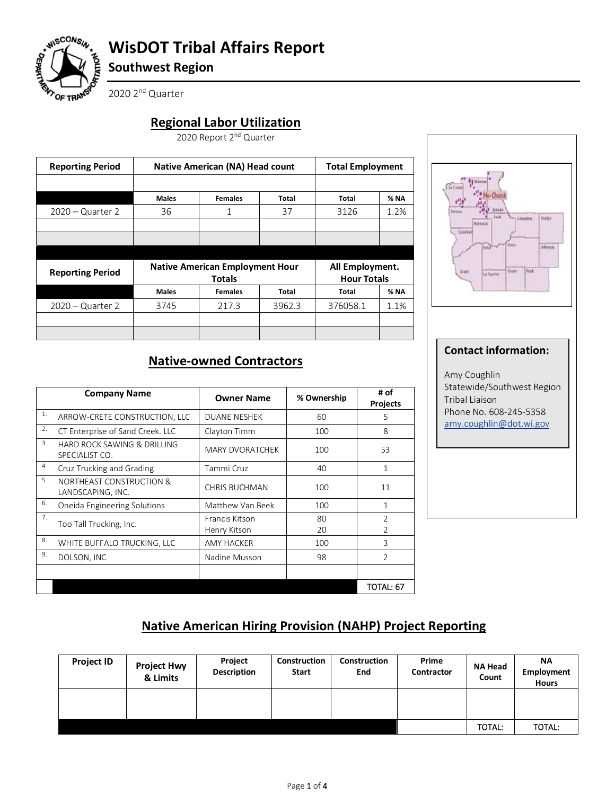

# **WisDOT Tribal Affairs Report**

**Southwest Region** 

2020 2<sup>nd</sup> Quarter

# **Regional Labor Utilization**

2020 Report 2<sup>nd</sup> Quarter

|               | <b>Native American (NA) Head count</b> |        |                                        |                                       |
|---------------|----------------------------------------|--------|----------------------------------------|---------------------------------------|
| <b>Males</b>  | <b>Females</b>                         | Total  | Total                                  | % NA                                  |
| 36            | 1                                      | 37     | 3126                                   | 1.2%                                  |
|               |                                        |        |                                        |                                       |
|               |                                        |        |                                        |                                       |
|               |                                        |        |                                        |                                       |
| <b>Totals</b> |                                        |        |                                        |                                       |
| <b>Males</b>  | <b>Females</b>                         | Total  | Total                                  | $%$ NA                                |
| 3745          | 217.3                                  | 3962.3 | 376058.1                               | 1.1%                                  |
|               |                                        |        |                                        |                                       |
|               |                                        |        | <b>Native American Employment Hour</b> | All Employment.<br><b>Hour Totals</b> |



# **Native-owned Contractors**

|    | <b>Company Name</b>                                      | <b>Owner Name</b>              | % Ownership | # of<br><b>Projects</b> |
|----|----------------------------------------------------------|--------------------------------|-------------|-------------------------|
| 1. | ARROW-CRETE CONSTRUCTION, LLC                            | <b>DUANE NESHEK</b>            | 60          | 5                       |
| 2. | CT Enterprise of Sand Creek. LLC                         | Clayton Timm                   | 100         | 8                       |
| 3  | HARD ROCK SAWING & DRILLING<br>SPECIALIST CO.            | <b>MARY DVORATCHEK</b>         | 100         | 53                      |
| 4  | Cruz Trucking and Grading                                | Tammi Cruz                     | 40          | 1                       |
| 5  | <b>NORTHEAST CONSTRUCTION &amp;</b><br>LANDSCAPING, INC. | <b>CHRIS BUCHMAN</b>           | 100         | 11                      |
| 6. | Oneida Engineering Solutions                             | Matthew Van Beek               | 100         | 1                       |
| 7. | Too Tall Trucking, Inc.                                  | Francis Kitson<br>Henry Kitson | 80<br>20    | $\overline{2}$<br>C.    |
| 8. | WHITE BUFFALO TRUCKING, LLC                              | <b>AMY HACKER</b>              | 100         | 3                       |
| 9. | DOLSON, INC                                              | Nadine Musson                  | 98          | $\overline{2}$          |
|    |                                                          |                                |             |                         |
|    |                                                          |                                |             | TOTAL: 67               |

#### **Contact information:**

Amy Coughlin Statewide/Southwest Region Tribal Liaison Phone No. 608-245-5358 amy.coughlin@dot.wi.gov

### **Native American Hiring Provision (NAHP) Project Reporting**

| <b>Project ID</b> | <b>Project Hwy</b><br>& Limits | Project<br><b>Description</b> | Construction<br><b>Start</b> | Construction<br>End | Prime<br>Contractor | NA Head<br>Count | <b>NA</b><br>Employment<br><b>Hours</b> |
|-------------------|--------------------------------|-------------------------------|------------------------------|---------------------|---------------------|------------------|-----------------------------------------|
|                   |                                |                               |                              |                     |                     |                  |                                         |
|                   |                                |                               |                              |                     |                     | <b>TOTAL:</b>    | <b>TOTAL:</b>                           |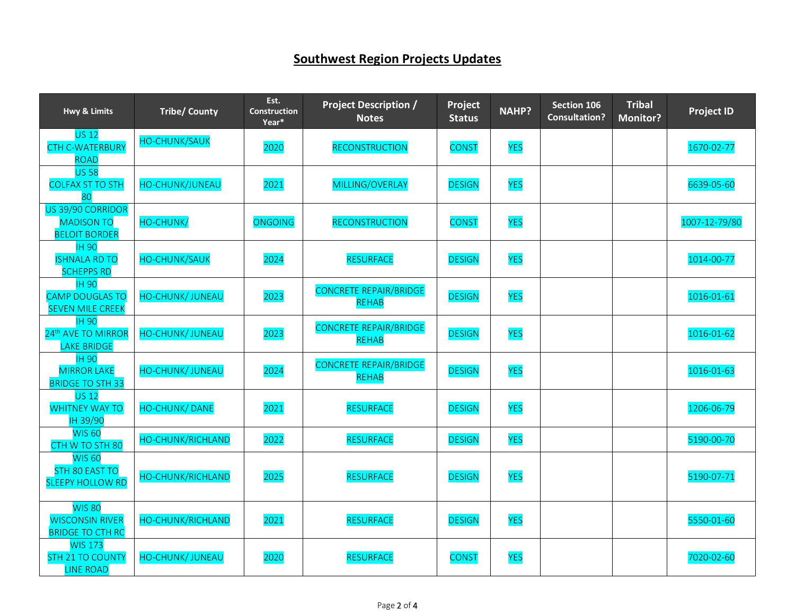# **Southwest Region Projects Updates**

| <b>Hwy &amp; Limits</b>                                              | <b>Tribe/ County</b>     | Est.<br><b>Construction</b><br>Year* | <b>Project Description /</b><br><b>Notes</b>  | Project<br><b>Status</b> | <b>NAHP?</b> | Section 106<br><b>Consultation?</b> | <b>Tribal</b><br><b>Monitor?</b> | <b>Project ID</b> |
|----------------------------------------------------------------------|--------------------------|--------------------------------------|-----------------------------------------------|--------------------------|--------------|-------------------------------------|----------------------------------|-------------------|
| <b>US 12</b><br><b>CTH C-WATERBURY</b><br><b>ROAD</b>                | <b>HO-CHUNK/SAUK</b>     | 2020                                 | <b>RECONSTRUCTION</b>                         | <b>CONST</b>             | <b>YES</b>   |                                     |                                  | 1670-02-77        |
| <b>US 58</b><br><b>COLFAX ST TO STH</b><br>80                        | HO-CHUNK/JUNEAU          | 2021                                 | MILLING/OVERLAY                               | <b>DESIGN</b>            | <b>YES</b>   |                                     |                                  | 6639-05-60        |
| US 39/90 CORRIDOR<br><b>MADISON TO</b><br><b>BELOIT BORDER</b>       | HO-CHUNK/                | <b>ONGOING</b>                       | <b>RECONSTRUCTION</b>                         | <b>CONST</b>             | <b>YES</b>   |                                     |                                  | 1007-12-79/80     |
| <b>IH 90</b><br><b>ISHNALA RD TO</b><br><b>SCHEPPS RD</b>            | <b>HO-CHUNK/SAUK</b>     | 2024                                 | <b>RESURFACE</b>                              | <b>DESIGN</b>            | <b>YES</b>   |                                     |                                  | 1014-00-77        |
| <b>IH 90</b><br><b>CAMP DOUGLAS TO</b><br><b>SEVEN MILE CREEK</b>    | <b>HO-CHUNK/ JUNEAU</b>  | 2023                                 | <b>CONCRETE REPAIR/BRIDGE</b><br><b>REHAB</b> | <b>DESIGN</b>            | <b>YES</b>   |                                     |                                  | 1016-01-61        |
| <b>IH 90</b><br>24 <sup>th</sup> AVE TO MIRROR<br><b>LAKE BRIDGE</b> | <b>HO-CHUNK/ JUNEAU</b>  | 2023                                 | <b>CONCRETE REPAIR/BRIDGE</b><br><b>REHAB</b> | <b>DESIGN</b>            | <b>YES</b>   |                                     |                                  | 1016-01-62        |
| <b>IH 90</b><br><b>MIRROR LAKE</b><br><b>BRIDGE TO STH 33</b>        | <b>HO-CHUNK/ JUNEAU</b>  | 2024                                 | <b>CONCRETE REPAIR/BRIDGE</b><br><b>REHAB</b> | <b>DESIGN</b>            | <b>YES</b>   |                                     |                                  | 1016-01-63        |
| <b>US 12</b><br><b>WHITNEY WAY TO</b><br>IH 39/90                    | <b>HO-CHUNK/DANE</b>     | 2021                                 | <b>RESURFACE</b>                              | <b>DESIGN</b>            | <b>YES</b>   |                                     |                                  | 1206-06-79        |
| <b>WIS 60</b><br>CTH W TO STH 80                                     | <b>HO-CHUNK/RICHLAND</b> | 2022                                 | <b>RESURFACE</b>                              | <b>DESIGN</b>            | <b>YES</b>   |                                     |                                  | 5190-00-70        |
| <b>WIS 60</b><br>STH 80 EAST TO<br><b>SLEEPY HOLLOW RD</b>           | <b>HO-CHUNK/RICHLAND</b> | 2025                                 | <b>RESURFACE</b>                              | <b>DESIGN</b>            | <b>YES</b>   |                                     |                                  | 5190-07-71        |
| <b>WIS 80</b><br><b>WISCONSIN RIVER</b><br><b>BRIDGE TO CTH RC</b>   | <b>HO-CHUNK/RICHLAND</b> | 2021                                 | <b>RESURFACE</b>                              | <b>DESIGN</b>            | <b>YES</b>   |                                     |                                  | 5550-01-60        |
| <b>WIS 173</b><br><b>STH 21 TO COUNTY</b><br><b>LINE ROAD</b>        | <b>HO-CHUNK/ JUNEAU</b>  | 2020                                 | <b>RESURFACE</b>                              | <b>CONST</b>             | <b>YES</b>   |                                     |                                  | 7020-02-60        |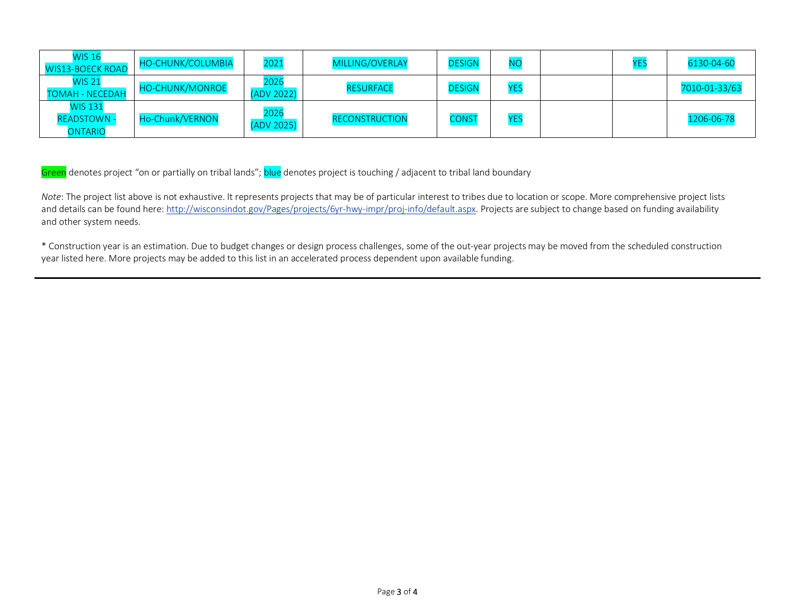| <b>WIS 16</b><br><b>WIS13-BOECK ROAD</b>               | <b>HO-CHUNK/COLUMBIA</b> | 2021               | <b>MILLING/OVERLAY</b> | <b>DESIGN</b> | <b>NC</b> | ۷F۱ | 6130-04-60    |
|--------------------------------------------------------|--------------------------|--------------------|------------------------|---------------|-----------|-----|---------------|
| <b>WIS 21</b><br><b>TOMAH - NECEDAH</b>                | <b>HO-CHUNK/MONROE</b>   | 2026<br>(ADV 2022) | <b>RESURFACE</b>       | <b>DESIGN</b> | YE:       |     | 7010-01-33/63 |
| <b>WIS 131</b><br><b>READSTOWN -</b><br><b>ONTARIO</b> | Ho-Chunk/VERNON          | 2026<br>(ADV 2025) | <b>RECONSTRUCTION</b>  | <b>CONST</b>  | YE:       |     | 1206-06-78    |

Green denotes project "on or partially on tribal lands"; blue denotes project is touching / adjacent to tribal land boundary

*Note*: The project list above is not exhaustive. It represents projects that may be of particular interest to tribes due to location or scope. More comprehensive project lists and details can be found here: http://wisconsindot.gov/Pages/projects/6yr-hwy-impr/proj-info/default.aspx. Projects are subject to change based on funding availability and other system needs.

\* Construction year is an estimation. Due to budget changes or design process challenges, some of the out-year projects may be moved from the scheduled construction year listed here. More projects may be added to this list in an accelerated process dependent upon available funding.